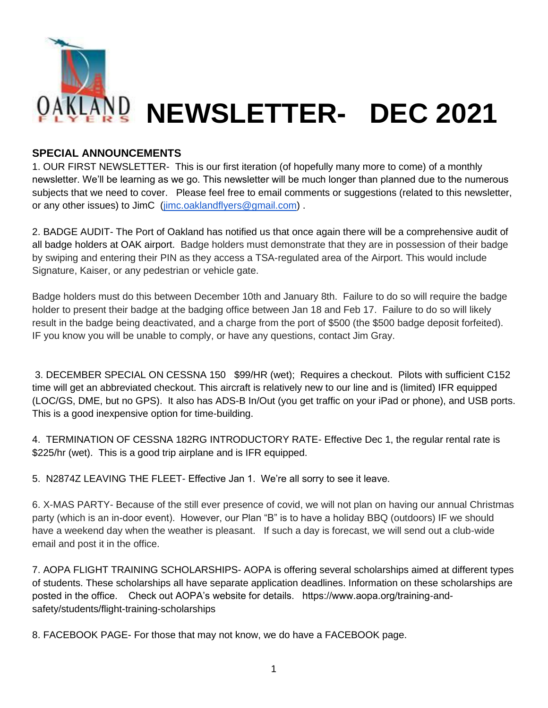

### **SPECIAL ANNOUNCEMENTS**

1. OUR FIRST NEWSLETTER- This is our first iteration (of hopefully many more to come) of a monthly newsletter. We'll be learning as we go. This newsletter will be much longer than planned due to the numerous subjects that we need to cover. Please feel free to email comments or suggestions (related to this newsletter, or any other issues) to JimC [\(jimc.oaklandflyers@gmail.com\)](mailto:jimc.oaklandflyers@gmail.com) .

2. BADGE AUDIT- The Port of Oakland has notified us that once again there will be a comprehensive audit of all badge holders at OAK airport. Badge holders must demonstrate that they are in possession of their badge by swiping and entering their PIN as they access a TSA-regulated area of the Airport. This would include Signature, Kaiser, or any pedestrian or vehicle gate.

Badge holders must do this between December 10th and January 8th. Failure to do so will require the badge holder to present their badge at the badging office between Jan 18 and Feb 17. Failure to do so will likely result in the badge being deactivated, and a charge from the port of \$500 (the \$500 badge deposit forfeited). IF you know you will be unable to comply, or have any questions, contact Jim Gray.

3. DECEMBER SPECIAL ON CESSNA 150 \$99/HR (wet); Requires a checkout. Pilots with sufficient C152 time will get an abbreviated checkout. This aircraft is relatively new to our line and is (limited) IFR equipped (LOC/GS, DME, but no GPS). It also has ADS-B In/Out (you get traffic on your iPad or phone), and USB ports. This is a good inexpensive option for time-building.

4. TERMINATION OF CESSNA 182RG INTRODUCTORY RATE- Effective Dec 1, the regular rental rate is \$225/hr (wet). This is a good trip airplane and is IFR equipped.

5. N2874Z LEAVING THE FLEET- Effective Jan 1. We're all sorry to see it leave.

6. X-MAS PARTY- Because of the still ever presence of covid, we will not plan on having our annual Christmas party (which is an in-door event). However, our Plan "B" is to have a holiday BBQ (outdoors) IF we should have a weekend day when the weather is pleasant. If such a day is forecast, we will send out a club-wide email and post it in the office.

7. AOPA FLIGHT TRAINING SCHOLARSHIPS- AOPA is offering several scholarships aimed at different types of students. These scholarships all have separate application deadlines. Information on these scholarships are posted in the office. Check out AOPA's website for details. https://www.aopa.org/training-andsafety/students/flight-training-scholarships

8. FACEBOOK PAGE- For those that may not know, we do have a FACEBOOK page.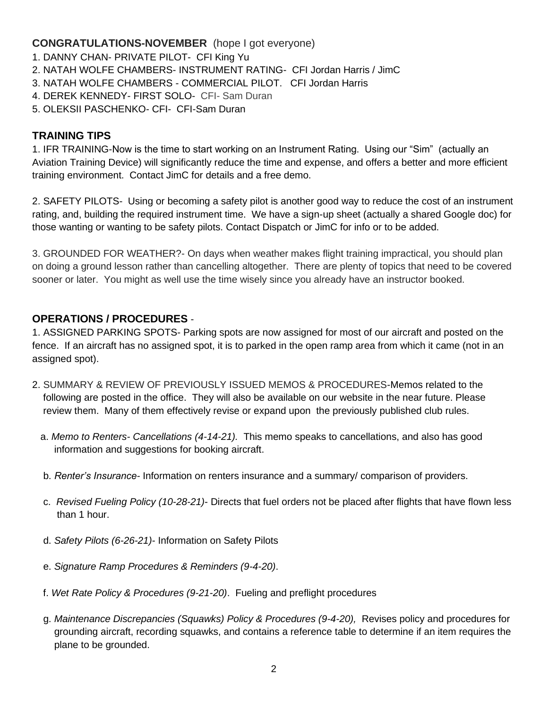## **CONGRATULATIONS-NOVEMBER** (hope I got everyone)

- 1. DANNY CHAN- PRIVATE PILOT- CFI King Yu
- 2. NATAH WOLFE CHAMBERS- INSTRUMENT RATING- CFI Jordan Harris / JimC
- 3. NATAH WOLFE CHAMBERS COMMERCIAL PILOT. CFI Jordan Harris
- 4. DEREK KENNEDY- FIRST SOLO- CFI- Sam Duran
- 5. OLEKSII PASCHENKO- CFI- CFI-Sam Duran

#### **TRAINING TIPS**

1. IFR TRAINING-Now is the time to start working on an Instrument Rating. Using our "Sim" (actually an Aviation Training Device) will significantly reduce the time and expense, and offers a better and more efficient training environment. Contact JimC for details and a free demo.

2. SAFETY PILOTS- Using or becoming a safety pilot is another good way to reduce the cost of an instrument rating, and, building the required instrument time. We have a sign-up sheet (actually a shared Google doc) for those wanting or wanting to be safety pilots. Contact Dispatch or JimC for info or to be added.

3. GROUNDED FOR WEATHER?- On days when weather makes flight training impractical, you should plan on doing a ground lesson rather than cancelling altogether. There are plenty of topics that need to be covered sooner or later. You might as well use the time wisely since you already have an instructor booked.

## **OPERATIONS / PROCEDURES** -

1. ASSIGNED PARKING SPOTS- Parking spots are now assigned for most of our aircraft and posted on the fence. If an aircraft has no assigned spot, it is to parked in the open ramp area from which it came (not in an assigned spot).

- 2. SUMMARY & REVIEW OF PREVIOUSLY ISSUED MEMOS & PROCEDURES-Memos related to the following are posted in the office. They will also be available on our website in the near future. Please review them. Many of them effectively revise or expand upon the previously published club rules.
	- a. *Memo to Renters- Cancellations (4-14-21).* This memo speaks to cancellations, and also has good information and suggestions for booking aircraft.
	- b. *Renter's Insurance-* Information on renters insurance and a summary/ comparison of providers.
	- c. *Revised Fueling Policy (10-28-21)* Directs that fuel orders not be placed after flights that have flown less than 1 hour.
	- d. *Safety Pilots (6-26-21)* Information on Safety Pilots
	- e. *Signature Ramp Procedures & Reminders (9-4-20)*.
	- f. *Wet Rate Policy & Procedures (9-21-20)*. Fueling and preflight procedures
	- g. *Maintenance Discrepancies (Squawks) Policy & Procedures (9-4-20),* Revises policy and procedures for grounding aircraft, recording squawks, and contains a reference table to determine if an item requires the plane to be grounded.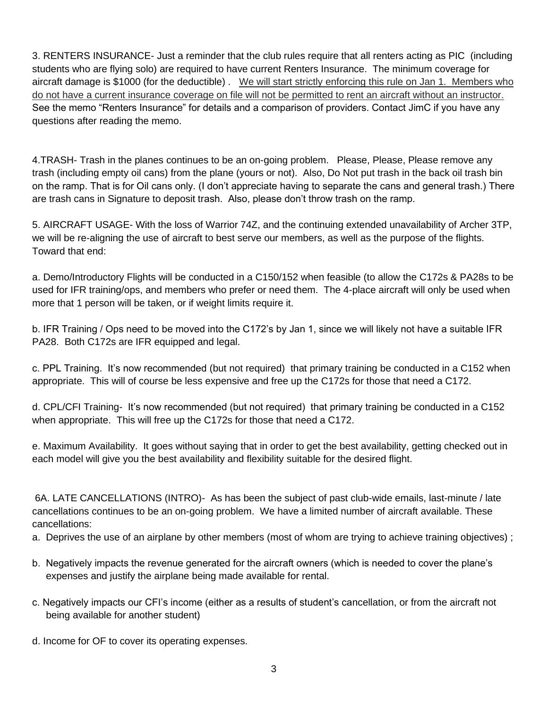3. RENTERS INSURANCE- Just a reminder that the club rules require that all renters acting as PIC (including students who are flying solo) are required to have current Renters Insurance. The minimum coverage for aircraft damage is \$1000 (for the deductible) . We will start strictly enforcing this rule on Jan 1. Members who do not have a current insurance coverage on file will not be permitted to rent an aircraft without an instructor. See the memo "Renters Insurance" for details and a comparison of providers. Contact JimC if you have any questions after reading the memo.

4.TRASH- Trash in the planes continues to be an on-going problem. Please, Please, Please remove any trash (including empty oil cans) from the plane (yours or not). Also, Do Not put trash in the back oil trash bin on the ramp. That is for Oil cans only. (I don't appreciate having to separate the cans and general trash.) There are trash cans in Signature to deposit trash. Also, please don't throw trash on the ramp.

5. AIRCRAFT USAGE- With the loss of Warrior 74Z, and the continuing extended unavailability of Archer 3TP, we will be re-aligning the use of aircraft to best serve our members, as well as the purpose of the flights. Toward that end:

a. Demo/Introductory Flights will be conducted in a C150/152 when feasible (to allow the C172s & PA28s to be used for IFR training/ops, and members who prefer or need them. The 4-place aircraft will only be used when more that 1 person will be taken, or if weight limits require it.

b. IFR Training / Ops need to be moved into the C172's by Jan 1, since we will likely not have a suitable IFR PA28. Both C172s are IFR equipped and legal.

c. PPL Training. It's now recommended (but not required) that primary training be conducted in a C152 when appropriate. This will of course be less expensive and free up the C172s for those that need a C172.

d. CPL/CFI Training- It's now recommended (but not required) that primary training be conducted in a C152 when appropriate. This will free up the C172s for those that need a C172.

e. Maximum Availability. It goes without saying that in order to get the best availability, getting checked out in each model will give you the best availability and flexibility suitable for the desired flight.

6A. LATE CANCELLATIONS (INTRO)- As has been the subject of past club-wide emails, last-minute / late cancellations continues to be an on-going problem. We have a limited number of aircraft available. These cancellations:

a. Deprives the use of an airplane by other members (most of whom are trying to achieve training objectives) ;

- b. Negatively impacts the revenue generated for the aircraft owners (which is needed to cover the plane's expenses and justify the airplane being made available for rental.
- c. Negatively impacts our CFI's income (either as a results of student's cancellation, or from the aircraft not being available for another student)
- d. Income for OF to cover its operating expenses.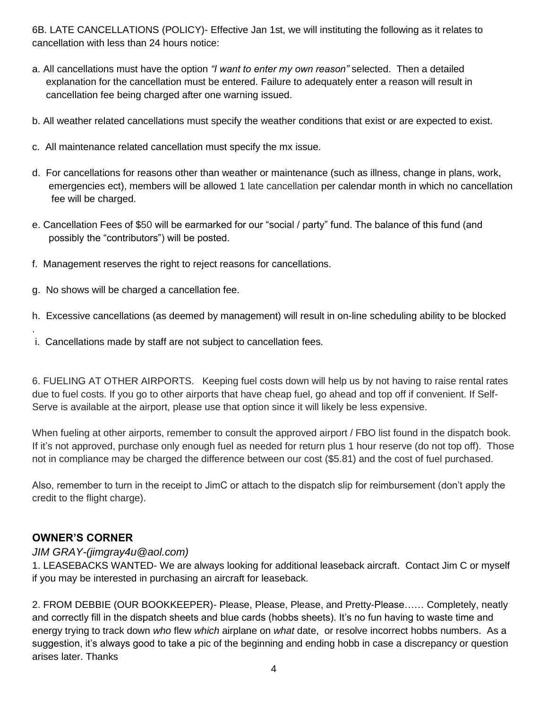6B. LATE CANCELLATIONS (POLICY)- Effective Jan 1st, we will instituting the following as it relates to cancellation with less than 24 hours notice:

- a. All cancellations must have the option *"I want to enter my own reason"* selected. Then a detailed explanation for the cancellation must be entered. Failure to adequately enter a reason will result in cancellation fee being charged after one warning issued.
- b. All weather related cancellations must specify the weather conditions that exist or are expected to exist.
- c. All maintenance related cancellation must specify the mx issue.
- d. For cancellations for reasons other than weather or maintenance (such as illness, change in plans, work, emergencies ect), members will be allowed 1 late cancellation per calendar month in which no cancellation fee will be charged.
- e. Cancellation Fees of \$50 will be earmarked for our "social / party" fund. The balance of this fund (and possibly the "contributors") will be posted.
- f. Management reserves the right to reject reasons for cancellations.
- g. No shows will be charged a cancellation fee.
- h. Excessive cancellations (as deemed by management) will result in on-line scheduling ability to be blocked
- i. Cancellations made by staff are not subject to cancellation fees.

6. FUELING AT OTHER AIRPORTS. Keeping fuel costs down will help us by not having to raise rental rates due to fuel costs. If you go to other airports that have cheap fuel, go ahead and top off if convenient. If Self-Serve is available at the airport, please use that option since it will likely be less expensive.

When fueling at other airports, remember to consult the approved airport / FBO list found in the dispatch book. If it's not approved, purchase only enough fuel as needed for return plus 1 hour reserve (do not top off). Those not in compliance may be charged the difference between our cost (\$5.81) and the cost of fuel purchased.

Also, remember to turn in the receipt to JimC or attach to the dispatch slip for reimbursement (don't apply the credit to the flight charge).

#### **OWNER'S CORNER**

.

#### *JIM GRAY-(jimgray4u@aol.com)*

1. LEASEBACKS WANTED- We are always looking for additional leaseback aircraft. Contact Jim C or myself if you may be interested in purchasing an aircraft for leaseback.

2. FROM DEBBIE (OUR BOOKKEEPER)- Please, Please, Please, and Pretty-Please…… Completely, neatly and correctly fill in the dispatch sheets and blue cards (hobbs sheets). It's no fun having to waste time and energy trying to track down *who* flew *which* airplane on *what* date, or resolve incorrect hobbs numbers. As a suggestion, it's always good to take a pic of the beginning and ending hobb in case a discrepancy or question arises later. Thanks